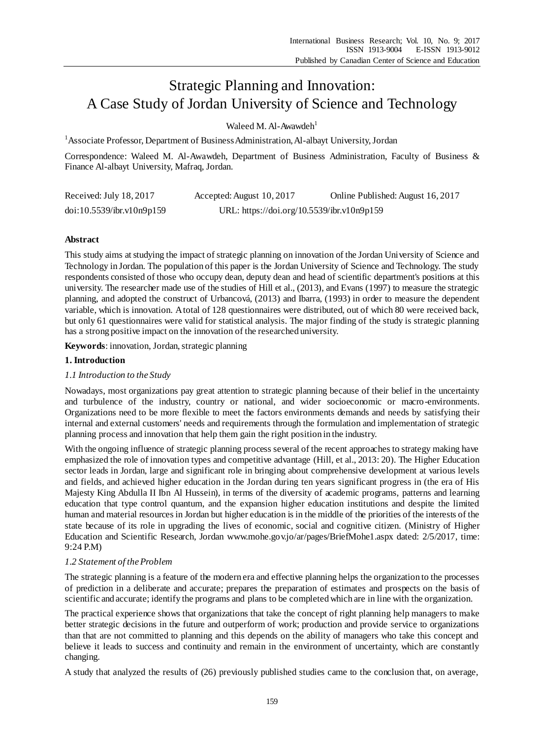# Strategic Planning and Innovation: A Case Study of Jordan University of Science and Technology

Waleed M. Al-Awawdeh $<sup>1</sup>$ </sup>

<sup>1</sup> Associate Professor, Department of Business Administration, Al-albayt University, Jordan

Correspondence: Waleed M. Al-Awawdeh, Department of Business Administration, Faculty of Business & Finance Al-albayt University, Mafraq, Jordan.

| Received: July 18, 2017   | Accepted: August 10, 2017                  | Online Published: August 16, 2017 |
|---------------------------|--------------------------------------------|-----------------------------------|
| doi:10.5539/ibr.v10n9p159 | URL: https://doi.org/10.5539/ibr.v10n9p159 |                                   |

## **Abstract**

This study aims at studying the impact of strategic planning on innovation of the Jordan University of Science and Technology in Jordan. The population of this paper is the Jordan University of Science and Technology. The study respondents consisted of those who occupy dean, deputy dean and head of scientific department's positions at this university. The researcher made use of the studies of Hill et al., (2013), and Evans (1997) to measure the strategic planning, and adopted the construct of Urbancová, (2013) and Ibarra, (1993) in order to measure the dependent variable, which is innovation. A total of 128 questionnaires were distributed, out of which 80 were received back, but only 61 questionnaires were valid for statistical analysis. The major finding of the study is strategic planning has a strong positive impact on the innovation of the researched university.

**Keywords**: innovation, Jordan, strategic planning

## **1. Introduction**

## *1.1 Introduction to the Study*

Nowadays, most organizations pay great attention to strategic planning because of their belief in the uncertainty and turbulence of the industry, country or national, and wider socioeconomic or macro-environments. Organizations need to be more flexible to meet the factors environments demands and needs by satisfying their internal and external customers' needs and requirements through the formulation and implementation of strategic planning process and innovation that help them gain the right position in the industry.

With the ongoing influence of strategic planning process several of the recent approaches to strategy making have emphasized the role of innovation types and competitive advantage (Hill, et al., 2013: 20). The Higher Education sector leads in Jordan, large and significant role in bringing about comprehensive development at various levels and fields, and achieved higher education in the Jordan during ten years significant progress in (the era of His Majesty King Abdulla II Ibn Al Hussein), in terms of the diversity of academic programs, patterns and learning education that type control quantum, and the expansion higher education institutions and despite the limited human and material resources in Jordan but higher education is in the middle of the priorities of the interests of the state because of its role in upgrading the lives of economic, social and cognitive citizen. (Ministry of Higher Education and Scientific Research, Jordan [www.mohe.gov.jo/ar/pages/BriefMohe1.aspx](http://www.mohe.gov.jo/ar/pages/BriefMohe1.aspx) dated: 2/5/2017, time: 9:24 P.M)

## *1.2 Statement of the Problem*

The strategic planning is a feature of the modern era and effective planning helps the organization to the processes of prediction in a deliberate and accurate; prepares the preparation of estimates and prospects on the basis of scientific and accurate; identify the programs and plans to be completed which are in line with the organization.

The practical experience shows that organizations that take the concept of right planning help managers to make better strategic decisions in the future and outperform of work; production and provide service to organizations than that are not committed to planning and this depends on the ability of managers who take this concept and believe it leads to success and continuity and remain in the environment of uncertainty, which are constantly changing.

A study that analyzed the results of (26) previously published studies came to the conclusion that, on average,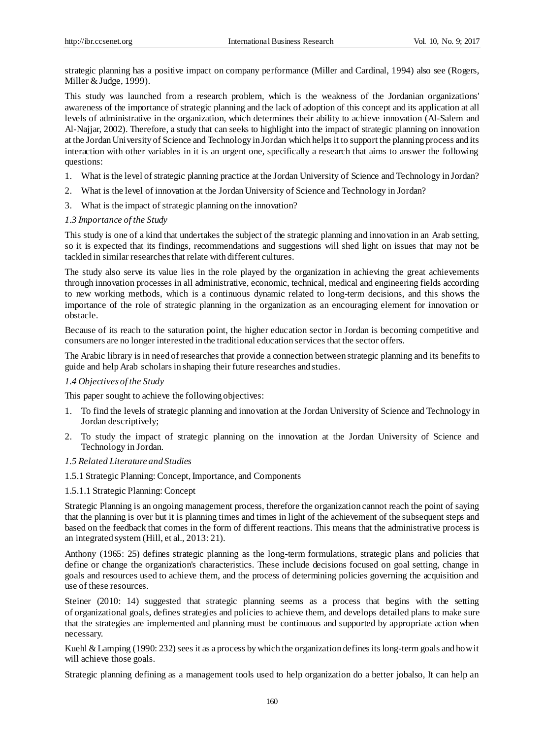strategic planning has a positive impact on company performance (Miller and Cardinal, 1994) also see (Rogers, Miller & Judge, 1999).

This study was launched from a research problem, which is the weakness of the Jordanian organizations' awareness of the importance of strategic planning and the lack of adoption of this concept and its application at all levels of administrative in the organization, which determines their ability to achieve innovation (Al-Salem and Al-Najjar, 2002). Therefore, a study that can seeks to highlight into the impact of strategic planning on innovation at the Jordan University of Science and Technology in Jordan which helps it to support the planning process and its interaction with other variables in it is an urgent one, specifically a research that aims to answer the following questions:

- 1. What is the level of strategic planning practice at the Jordan University of Science and Technology in Jordan?
- 2. What is the level of innovation at the Jordan University of Science and Technology in Jordan?
- 3. What is the impact of strategic planning on the innovation?

#### *1.3 Importance of the Study*

This study is one of a kind that undertakes the subject of the strategic planning and innovation in an Arab setting, so it is expected that its findings, recommendations and suggestions will shed light on issues that may not be tackled in similar researches that relate with different cultures.

The study also serve its value lies in the role played by the organization in achieving the great achievements through innovation processes in all administrative, economic, technical, medical and engineering fields according to new working methods, which is a continuous dynamic related to long-term decisions, and this shows the importance of the role of strategic planning in the organization as an encouraging element for innovation or obstacle.

Because of its reach to the saturation point, the higher education sector in Jordan is becoming competitive and consumers are no longer interested in the traditional education services that the sector offers.

The Arabic library is in need of researches that provide a connection between strategic planning and its benefits to guide and help Arab scholars in shaping their future researches and studies.

#### *1.4 Objectives of the Study*

This paper sought to achieve the following objectives:

- 1. To find the levels of strategic planning and innovation at the Jordan University of Science and Technology in Jordan descriptively;
- 2. To study the impact of strategic planning on the innovation at the Jordan University of Science and Technology in Jordan.
- *1.5 Related Literature and Studies*
- 1.5.1 Strategic Planning: Concept, Importance, and Components
- 1.5.1.1 Strategic Planning: Concept

Strategic Planning is an ongoing management process, therefore the organization cannot reach the point of saying that the planning is over but it is planning times and times in light of the achievement of the subsequent steps and based on the feedback that comes in the form of different reactions. This means that the administrative process is an integrated system (Hill, et al., 2013: 21).

Anthony (1965: 25) defines strategic planning as the long-term formulations, strategic plans and policies that define or change the organization's characteristics. These include decisions focused on goal setting, change in goals and resources used to achieve them, and the process of determining policies governing the acquisition and use of these resources.

Steiner (2010: 14) suggested that strategic planning seems as a process that begins with the setting of organizational goals, defines strategies and policies to achieve them, and develops detailed plans to make sure that the strategies are implemented and planning must be continuous and supported by appropriate action when necessary.

Kuehl & Lamping (1990: 232) sees it as a process by which the organization defines its long-term goals and how it will achieve those goals.

Strategic planning defining as a management tools used to help organization do a better jobalso, It can help an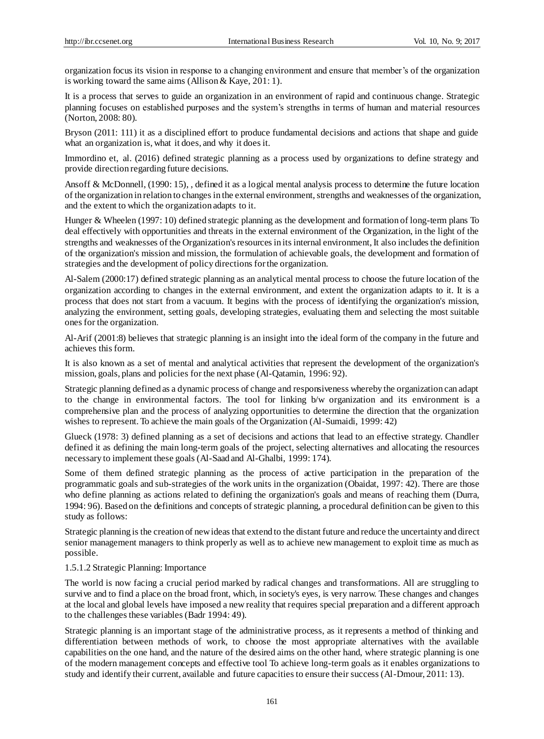organization focus its vision in response to a changing environment and ensure that member's of the organization is working toward the same aims (Allison & Kaye, 201: 1).

It is a process that serves to guide an organization in an environment of rapid and continuous change. Strategic planning focuses on established purposes and the system's strengths in terms of human and material resources (Norton, 2008: 80).

Bryson (2011: 111) it as a disciplined effort to produce fundamental decisions and actions that shape and guide what an organization is, what it does, and why it does it.

Immordino et, al. (2016) defined strategic planning as a process used by organizations to define strategy and provide direction regarding future decisions.

Ansoff & McDonnell, (1990: 15), , defined it as a logical mental analysis process to determine the future location of the organization in relation to changes in the external environment, strengths and weaknesses of the organization, and the extent to which the organization adapts to it.

Hunger & Wheelen (1997: 10) defined strategic planning as the development and formation of long-term plans To deal effectively with opportunities and threats in the external environment of the Organization, in the light of the strengths and weaknesses of the Organization's resources in its internal environment, It also includes the definition of the organization's mission and mission, the formulation of achievable goals, the development and formation of strategies and the development of policy directions for the organization.

Al-Salem (2000:17) defined strategic planning as an analytical mental process to choose the future location of the organization according to changes in the external environment, and extent the organization adapts to it. It is a process that does not start from a vacuum. It begins with the process of identifying the organization's mission, analyzing the environment, setting goals, developing strategies, evaluating them and selecting the most suitable ones for the organization.

Al-Arif (2001:8) believes that strategic planning is an insight into the ideal form of the company in the future and achieves this form.

It is also known as a set of mental and analytical activities that represent the development of the organization's mission, goals, plans and policies for the next phase (Al-Qatamin, 1996: 92).

Strategic planning defined as a dynamic process of change and responsiveness whereby the organization can adapt to the change in environmental factors. The tool for linking b/w organization and its environment is a comprehensive plan and the process of analyzing opportunities to determine the direction that the organization wishes to represent. To achieve the main goals of the Organization (Al-Sumaidi, 1999: 42)

Glueck (1978: 3) defined planning as a set of decisions and actions that lead to an effective strategy. Chandler defined it as defining the main long-term goals of the project, selecting alternatives and allocating the resources necessary to implement these goals (Al-Saad and Al-Ghalbi, 1999: 174).

Some of them defined strategic planning as the process of active participation in the preparation of the programmatic goals and sub-strategies of the work units in the organization (Obaidat, 1997: 42). There are those who define planning as actions related to defining the organization's goals and means of reaching them (Durra, 1994: 96). Based on the definitions and concepts of strategic planning, a procedural definition can be given to this study as follows:

Strategic planning is the creation of new ideas that extend to the distant future and reduce the uncertainty and direct senior management managers to think properly as well as to achieve new management to exploit time as much as possible.

1.5.1.2 Strategic Planning: Importance

The world is now facing a crucial period marked by radical changes and transformations. All are struggling to survive and to find a place on the broad front, which, in society's eyes, is very narrow. These changes and changes at the local and global levels have imposed a new reality that requires special preparation and a different approach to the challenges these variables (Badr 1994: 49).

Strategic planning is an important stage of the administrative process, as it represents a method of thinking and differentiation between methods of work, to choose the most appropriate alternatives with the available capabilities on the one hand, and the nature of the desired aims on the other hand, where strategic planning is one of the modern management concepts and effective tool To achieve long-term goals as it enables organizations to study and identify their current, available and future capacities to ensure their success (Al-Dmour, 2011: 13).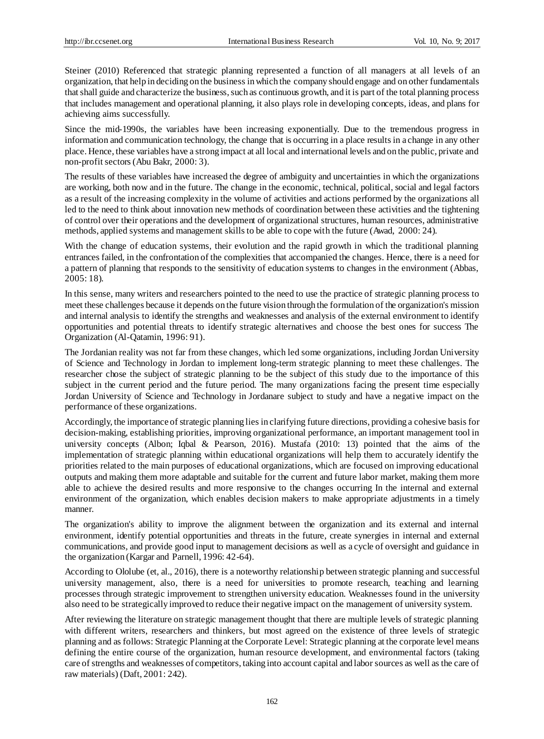Steiner (2010) Referenced that strategic planning represented a function of all managers at all levels of an organization, that help in deciding on the business in which the company should engage and on other fundamentals that shall guide and characterize the business, such as continuous growth, and it is part of the total planning process that includes management and operational planning, it also plays role in developing concepts, ideas, and plans for achieving aims successfully.

Since the mid-1990s, the variables have been increasing exponentially. Due to the tremendous progress in information and communication technology, the change that is occurring in a place results in a change in any other place. Hence, these variables have a strong impact at all local and international levels and on the public, private and non-profit sectors (Abu Bakr, 2000: 3).

The results of these variables have increased the degree of ambiguity and uncertainties in which the organizations are working, both now and in the future. The change in the economic, technical, political, social and legal factors as a result of the increasing complexity in the volume of activities and actions performed by the organizations all led to the need to think about innovation new methods of coordination between these activities and the tightening of control over their operations and the development of organizational structures, human resources, administrative methods, applied systems and management skills to be able to cope with the future (Awad, 2000: 24).

With the change of education systems, their evolution and the rapid growth in which the traditional planning entrances failed, in the confrontation of the complexities that accompanied the changes. Hence, there is a need for a pattern of planning that responds to the sensitivity of education systems to changes in the environment (Abbas, 2005: 18).

In this sense, many writers and researchers pointed to the need to use the practice of strategic planning process to meet these challenges because it depends on the future vision through the formulation of the organization's mission and internal analysis to identify the strengths and weaknesses and analysis of the external environment to identify opportunities and potential threats to identify strategic alternatives and choose the best ones for success The Organization (Al-Qatamin, 1996: 91).

The Jordanian reality was not far from these changes, which led some organizations, including Jordan University of Science and Technology in Jordan to implement long-term strategic planning to meet these challenges. The researcher chose the subject of strategic planning to be the subject of this study due to the importance of this subject in the current period and the future period. The many organizations facing the present time especially Jordan University of Science and Technology in Jordanare subject to study and have a negative impact on the performance of these organizations.

Accordingly, the importance of strategic planning lies in clarifying future directions, providing a cohesive basis for decision-making, establishing priorities, improving organizational performance, an important management tool in university concepts (Albon; Iqbal & Pearson, 2016). Mustafa (2010: 13) pointed that the aims of the implementation of strategic planning within educational organizations will help them to accurately identify the priorities related to the main purposes of educational organizations, which are focused on improving educational outputs and making them more adaptable and suitable for the current and future labor market, making them more able to achieve the desired results and more responsive to the changes occurring In the internal and external environment of the organization, which enables decision makers to make appropriate adjustments in a timely manner.

The organization's ability to improve the alignment between the organization and its external and internal environment, identify potential opportunities and threats in the future, create synergies in internal and external communications, and provide good input to management decisions as well as a cycle of oversight and guidance in the organization (Kargar and Parnell, 1996: 42-64).

According to Ololube (et, al., 2016), there is a noteworthy relationship between strategic planning and successful university management, also, there is a need for universities to promote research, teaching and learning processes through strategic improvement to strengthen university education. Weaknesses found in the university also need to be strategically improved to reduce their negative impact on the management of university system.

After reviewing the literature on strategic management thought that there are multiple levels of strategic planning with different writers, researchers and thinkers, but most agreed on the existence of three levels of strategic planning and as follows: Strategic Planning at the Corporate Level: Strategic planning at the corporate level means defining the entire course of the organization, human resource development, and environmental factors (taking care of strengths and weaknesses of competitors, taking into account capital and labor sources as well as the care of raw materials) (Daft, 2001: 242).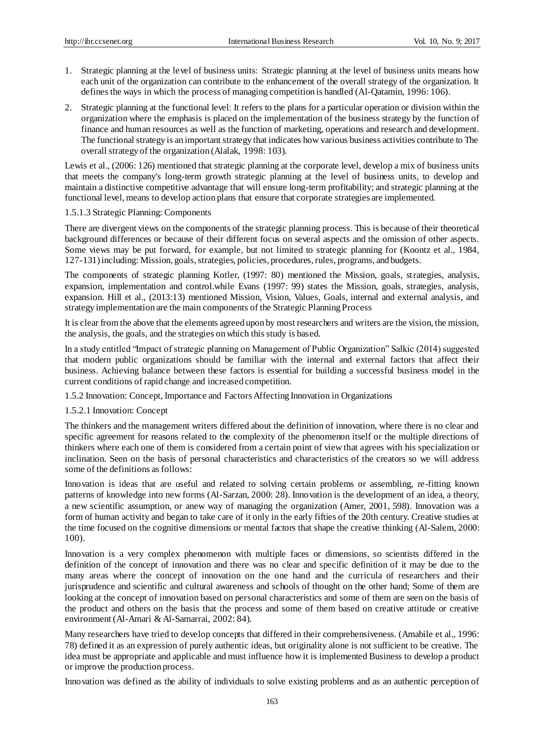- 1. Strategic planning at the level of business units: Strategic planning at the level of business units means how each unit of the organization can contribute to the enhancement of the overall strategy of the organization. It defines the ways in which the process of managing competition is handled (Al-Qatamin, 1996: 106).
- 2. Strategic planning at the functional level: It refers to the plans for a particular operation or division within the organization where the emphasis is placed on the implementation of the business strategy by the function of finance and human resources as well as the function of marketing, operations and research and development. The functional strategy is an important strategy that indicates how various business activities contribute to The overall strategy of the organization (Alalak, 1998: 103).

Lewis et al., (2006: 126) mentioned that strategic planning at the corporate level, develop a mix of business units that meets the company's long-term growth strategic planning at the level of business units, to develop and maintain a distinctive competitive advantage that will ensure long-term profitability; and strategic planning at the functional level, means to develop action plans that ensure that corporate strategies are implemented.

#### 1.5.1.3 Strategic Planning: Components

There are divergent views on the components of the strategic planning process. This is because of their theoretical background differences or because of their different focus on several aspects and the omission of other aspects. Some views may be put forward, for example, but not limited to strategic planning for (Koontz et al., 1984, 127-131) including: Mission, goals, strategies, policies, procedures, rules, programs, and budgets.

The components of strategic planning Kotler, (1997: 80) mentioned the Mission, goals, strategies, analysis, expansion, implementation and control.while Evans (1997: 99) states the Mission, goals, strategies, analysis, expansion. Hill et al., (2013:13) mentioned Mission, Vision, Values, Goals, internal and external analysis, and strategy implementation are the main components of the Strategic Planning Process

It is clear from the above that the elements agreed upon by most researchers and writers are the vision, the mission, the analysis, the goals, and the strategies on which this study is based.

In a study entitled "Impact of strategic planning on Management of Public Organization" Salkic (2014) suggested that modern public organizations should be familiar with the internal and external factors that affect their business. Achieving balance between these factors is essential for building a successful business model in the current conditions of rapid change and increased competition.

1.5.2 Innovation: Concept, Importance and Factors Affecting Innovation in Organizations

#### 1.5.2.1 Innovation: Concept

The thinkers and the management writers differed about the definition of innovation, where there is no clear and specific agreement for reasons related to the complexity of the phenomenon itself or the multiple directions of thinkers where each one of them is considered from a certain point of view that agrees with his specialization or inclination. Seen on the basis of personal characteristics and characteristics of the creators so we will address some of the definitions as follows:

Innovation is ideas that are useful and related to solving certain problems or assembling, re-fitting known patterns of knowledge into new forms (Al-Sarzan, 2000: 28). Innovation is the development of an idea, a theory, a new scientific assumption, or anew way of managing the organization (Amer, 2001, 598). Innovation was a form of human activity and began to take care of it only in the early fifties of the 20th century. Creative studies at the time focused on the cognitive dimensions or mental factors that shape the creative thinking (Al-Salem, 2000: 100).

Innovation is a very complex phenomenon with multiple faces or dimensions, so scientists differed in the definition of the concept of innovation and there was no clear and specific definition of it may be due to the many areas where the concept of innovation on the one hand and the curricula of researchers and their jurisprudence and scientific and cultural awareness and schools of thought on the other hand; Some of them are looking at the concept of innovation based on personal characteristics and some of them are seen on the basis of the product and others on the basis that the process and some of them based on creative attitude or creative environment (Al-Amari & Al-Samarrai, 2002: 84).

Many researchers have tried to develop concepts that differed in their comprehensiveness. (Amabile et al., 1996: 78) defined it as an expression of purely authentic ideas, but originality alone is not sufficient to be creative. The idea must be appropriate and applicable and must influence how it is implemented Business to develop a product or improve the production process.

Innovation was defined as the ability of individuals to solve existing problems and as an authentic perception of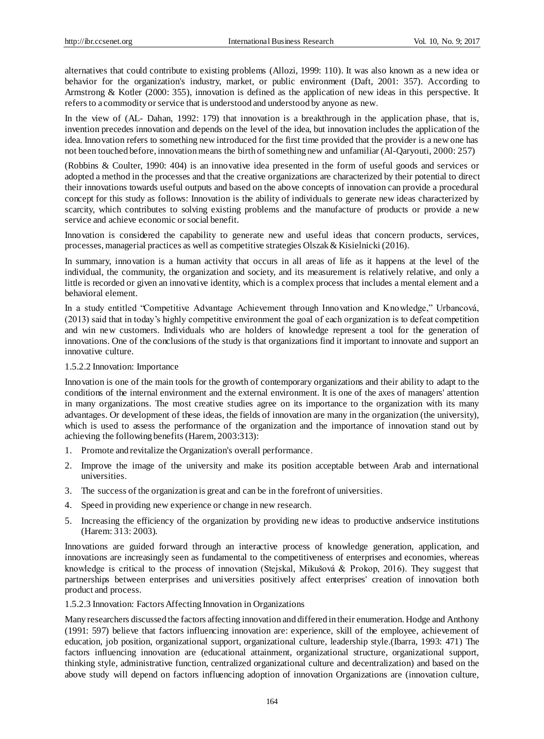alternatives that could contribute to existing problems (Allozi, 1999: 110). It was also known as a new idea or behavior for the organization's industry, market, or public environment (Daft, 2001: 357). According to Armstrong & Kotler (2000: 355), innovation is defined as the application of new ideas in this perspective. It refers to a commodity or service that is understood and understood by anyone as new.

In the view of (AL- Dahan, 1992: 179) that innovation is a breakthrough in the application phase, that is, invention precedes innovation and depends on the level of the idea, but innovation includes the application of the idea. Innovation refers to something new introduced for the first time provided that the provider is a new one has not been touched before, innovation means the birth of something new and unfamiliar (Al-Qaryouti, 2000: 257)

(Robbins & Coulter, 1990: 404) is an innovative idea presented in the form of useful goods and services or adopted a method in the processes and that the creative organizations are characterized by their potential to direct their innovations towards useful outputs and based on the above concepts of innovation can provide a procedural concept for this study as follows: Innovation is the ability of individuals to generate new ideas characterized by scarcity, which contributes to solving existing problems and the manufacture of products or provide a new service and achieve economic or social benefit.

Innovation is considered the capability to generate new and useful ideas that concern products, services, processes, managerial practices as well as competitive strategies Olszak & Kisielnicki (2016).

In summary, innovation is a human activity that occurs in all areas of life as it happens at the level of the individual, the community, the organization and society, and its measurement is relatively relative, and only a little is recorded or given an innovative identity, which is a complex process that includes a mental element and a behavioral element.

In a study entitled "Competitive Advantage Achievement through Innovation and Knowledge," Urbancová, (2013) said that in today's highly competitive environment the goal of each organization is to defeat competition and win new customers. Individuals who are holders of knowledge represent a tool for the generation of innovations. One of the conclusions of the study is that organizations find it important to innovate and support an innovative culture.

## 1.5.2.2 Innovation: Importance

Innovation is one of the main tools for the growth of contemporary organizations and their ability to adapt to the conditions of the internal environment and the external environment. It is one of the axes of managers' attention in many organizations. The most creative studies agree on its importance to the organization with its many advantages. Or development of these ideas, the fields of innovation are many in the organization (the university), which is used to assess the performance of the organization and the importance of innovation stand out by achieving the following benefits (Harem, 2003:313):

- 1. Promote and revitalize the Organization's overall performance.
- 2. Improve the image of the university and make its position acceptable between Arab and international universities.
- 3. The success of the organization is great and can be in the forefront of universities.
- 4. Speed in providing new experience or change in new research.
- 5. Increasing the efficiency of the organization by providing new ideas to productive andservice institutions (Harem: 313: 2003).

Innovations are guided forward through an interactive process of knowledge generation, application, and innovations are increasingly seen as fundamental to the competitiveness of enterprises and economies, whereas knowledge is critical to the process of innovation (Stejskal, Mikušová & Prokop, 2016). They suggest that partnerships between enterprises and universities positively affect enterprises' creation of innovation both product and process.

#### 1.5.2.3 Innovation: Factors Affecting Innovation in Organizations

Many researchers discussed the factors affecting innovation and differed in their enumeration. Hodge and Anthony (1991: 597) believe that factors influencing innovation are: experience, skill of the employee, achievement of education, job position, organizational support, organizational culture, leadership style.(Ibarra, 1993: 471) The factors influencing innovation are (educational attainment, organizational structure, organizational support, thinking style, administrative function, centralized organizational culture and decentralization) and based on the above study will depend on factors influencing adoption of innovation Organizations are (innovation culture,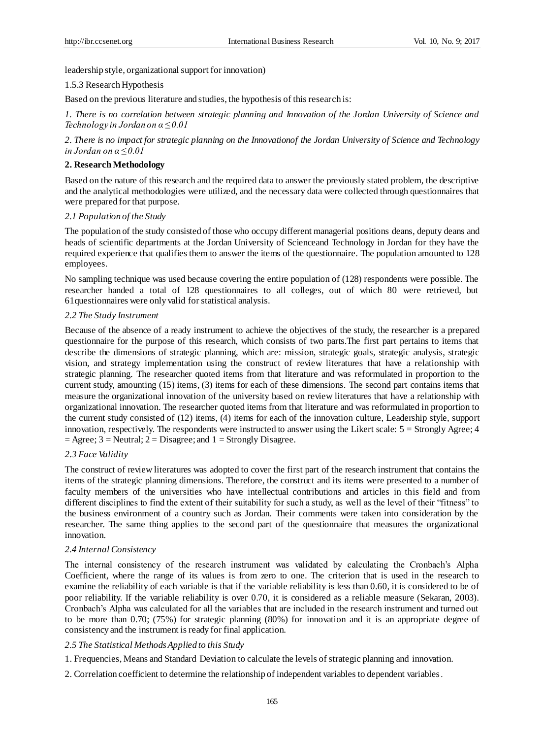#### leadership style, organizational support for innovation)

#### 1.5.3 Research Hypothesis

Based on the previous literature and studies, the hypothesis of this research is:

*1. There is no correlation between strategic planning and Innovation of the Jordan University of Science and Technology in Jordan on α ≤ 0.01*

*2. There is no impact for strategic planning on the Innovationof the Jordan University of Science and Technology in Jordan on α ≤ 0.01*

#### **2. Research Methodology**

Based on the nature of this research and the required data to answer the previously stated problem, the descriptive and the analytical methodologies were utilized, and the necessary data were collected through questionnaires that were prepared for that purpose.

#### *2.1 Population of the Study*

The population of the study consisted of those who occupy different managerial positions deans, deputy deans and heads of scientific departments at the Jordan University of Scienceand Technology in Jordan for they have the required experience that qualifies them to answer the items of the questionnaire. The population amounted to 128 employees.

No sampling technique was used because covering the entire population of (128) respondents were possible. The researcher handed a total of 128 questionnaires to all colleges, out of which 80 were retrieved, but 61questionnaires were only valid for statistical analysis.

#### *2.2 The Study Instrument*

Because of the absence of a ready instrument to achieve the objectives of the study, the researcher is a prepared questionnaire for the purpose of this research, which consists of two parts.The first part pertains to items that describe the dimensions of strategic planning, which are: mission, strategic goals, strategic analysis, strategic vision, and strategy implementation using the construct of review literatures that have a relationship with strategic planning. The researcher quoted items from that literature and was reformulated in proportion to the current study, amounting (15) items, (3) items for each of these dimensions. The second part contains items that measure the organizational innovation of the university based on review literatures that have a relationship with organizational innovation. The researcher quoted items from that literature and was reformulated in proportion to the current study consisted of (12) items, (4) items for each of the innovation culture, Leadership style, support innovation, respectively. The respondents were instructed to answer using the Likert scale:  $5 =$  Strongly Agree; 4  $=$  Agree; 3 = Neutral; 2 = Disagree; and 1 = Strongly Disagree.

## *2.3 Face Validity*

The construct of review literatures was adopted to cover the first part of the research instrument that contains the items of the strategic planning dimensions. Therefore, the construct and its items were presented to a number of faculty members of the universities who have intellectual contributions and articles in this field and from different disciplines to find the extent of their suitability for such a study, as well as the level of their "fitness" to the business environment of a country such as Jordan. Their comments were taken into consideration by the researcher. The same thing applies to the second part of the questionnaire that measures the organizational innovation.

## *2.4 Internal Consistency*

The internal consistency of the research instrument was validated by calculating the Cronbach's Alpha Coefficient, where the range of its values is from zero to one. The criterion that is used in the research to examine the reliability of each variable is that if the variable reliability is less than 0.60, it is considered to be of poor reliability. If the variable reliability is over 0.70, it is considered as a reliable measure (Sekaran, 2003). Cronbach's Alpha was calculated for all the variables that are included in the research instrument and turned out to be more than 0.70; (75%) for strategic planning (80%) for innovation and it is an appropriate degree of consistency and the instrument is ready for final application.

#### *2.5 The Statistical Methods Applied to this Study*

- 1. Frequencies, Means and Standard Deviation to calculate the levels of strategic planning and innovation.
- 2. Correlation coefficient to determine the relationship of independent variables to dependent variables.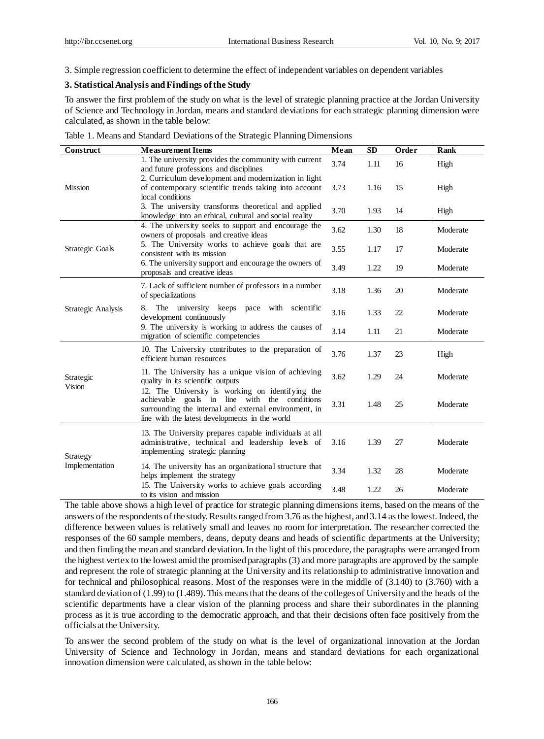3. Simple regression coefficient to determine the effect of independent variables on dependent variables

## **3. Statistical Analysis and Findings of the Study**

To answer the first problem of the study on what is the level of strategic planning practice at the Jordan University of Science and Technology in Jordan, means and standard deviations for each strategic planning dimension were calculated, as shown in the table below:

| Table 1. Means and Standard Deviations of the Strategic Planning Dimensions |  |
|-----------------------------------------------------------------------------|--|
|-----------------------------------------------------------------------------|--|

| Construct                  | <b>Measurement Items</b>                                                                                                                                                                                    | Mean | <b>SD</b> | Order | Rank     |
|----------------------------|-------------------------------------------------------------------------------------------------------------------------------------------------------------------------------------------------------------|------|-----------|-------|----------|
|                            | 1. The university provides the community with current<br>and future professions and disciplines                                                                                                             | 3.74 | 1.11      | 16    | High     |
| <b>Mission</b>             | 2. Curriculum development and modernization in light<br>of contemporary scientific trends taking into account<br>local conditions                                                                           | 3.73 | 1.16      | 15    | High     |
|                            | 3. The university transforms theoretical and applied<br>knowledge into an ethical, cultural and social reality                                                                                              | 3.70 | 1.93      | 14    | High     |
|                            | 4. The university seeks to support and encourage the<br>owners of proposals and creative ideas                                                                                                              | 3.62 | 1.30      | 18    | Moderate |
| Strategic Goals            | 5. The University works to achieve goals that are<br>consistent with its mission                                                                                                                            | 3.55 | 1.17      | 17    | Moderate |
|                            | 6. The university support and encourage the owners of<br>proposals and creative ideas                                                                                                                       | 3.49 | 1.22      | 19    | Moderate |
| Strategic Analysis         | 7. Lack of sufficient number of professors in a number<br>of specializations                                                                                                                                | 3.18 | 1.36      | 20    | Moderate |
|                            | The university keeps pace with scientific<br>8.<br>development continuously                                                                                                                                 | 3.16 | 1.33      | 22    | Moderate |
|                            | 9. The university is working to address the causes of<br>migration of scientific competencies                                                                                                               | 3.14 | 1.11      | 21    | Moderate |
|                            | 10. The University contributes to the preparation of<br>efficient human resources                                                                                                                           | 3.76 | 1.37      | 23    | High     |
| Strategic<br>Vision        | 11. The University has a unique vision of achieving<br>quality in its scientific outputs                                                                                                                    | 3.62 | 1.29      | 24    | Moderate |
|                            | 12. The University is working on identifying the<br>achievable goals in line with the conditions<br>surrounding the internal and external environment, in<br>line with the latest developments in the world | 3.31 | 1.48      | 25    | Moderate |
| Strategy<br>Implementation | 13. The University prepares capable individuals at all<br>administrative, technical and leadership levels of<br>implementing strategic planning                                                             | 3.16 | 1.39      | 27    | Moderate |
|                            | 14. The university has an organizational structure that<br>helps implement the strategy                                                                                                                     | 3.34 | 1.32      | 28    | Moderate |
|                            | 15. The University works to achieve goals according<br>to its vision and mission                                                                                                                            | 3.48 | 1.22      | 26    | Moderate |

The table above shows a high level of practice for strategic planning dimensions items, based on the means of the answers of the respondents of the study. Results ranged from 3.76 as the highest, and 3.14 as the lowest. Indeed, the difference between values is relatively small and leaves no room for interpretation. The researcher corrected the responses of the 60 sample members, deans, deputy deans and heads of scientific departments at the University; and then finding the mean and standard deviation. In the light of this procedure, the paragraphs were arranged from the highest vertex to the lowest amid the promised paragraphs (3) and more paragraphs are approved by the sample and represent the role of strategic planning at the University and its relationship to administrative innovation and for technical and philosophical reasons. Most of the responses were in the middle of (3.140) to (3.760) with a standard deviation of (1.99) to (1.489). This means that the deans of the colleges of University and the heads of the scientific departments have a clear vision of the planning process and share their subordinates in the planning process as it is true according to the democratic approach, and that their decisions often face positively from the officials at the University.

To answer the second problem of the study on what is the level of organizational innovation at the Jordan University of Science and Technology in Jordan, means and standard deviations for each organizational innovation dimension were calculated, as shown in the table below: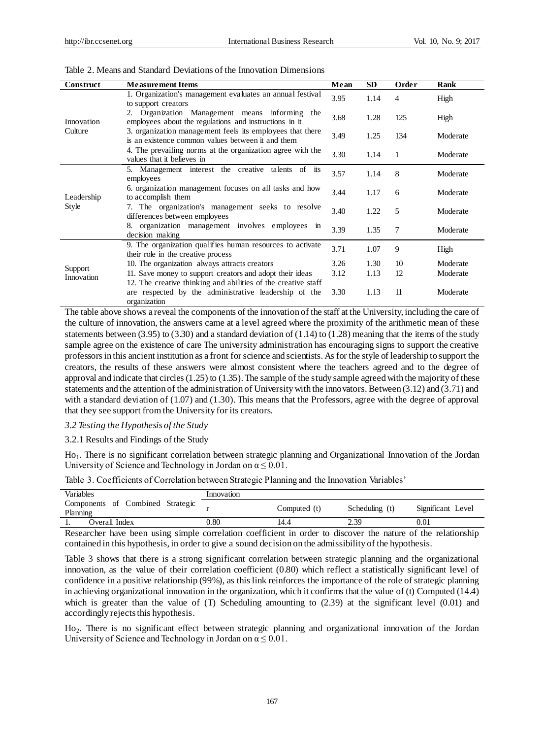| Construct             | <b>Measurement Items</b>                                                                                                  | Mean | <b>SD</b> | Order | <b>Rank</b> |
|-----------------------|---------------------------------------------------------------------------------------------------------------------------|------|-----------|-------|-------------|
|                       | 1. Organization's management evaluates an annual festival<br>to support creators                                          | 3.95 | 1.14      | 4     | High        |
| Innovation            | 2. Organization Management means informing the<br>employees about the regulations and instructions in it                  | 3.68 | 1.28      | 125   | High        |
| Culture               | 3. organization management feels its employees that there<br>is an existence common values between it and them            | 3.49 | 1.25      | 134   | Moderate    |
|                       | 4. The prevailing norms at the organization agree with the<br>values that it believes in                                  | 3.30 | 1.14      | 1     | Moderate    |
| Leadership<br>Style   | 5. Management interest the creative talents of its<br>employees                                                           | 3.57 | 1.14      | 8     | Moderate    |
|                       | 6. organization management focuses on all tasks and how<br>to accomplish them                                             | 3.44 | 1.17      | 6     | Moderate    |
|                       | 7. The organization's management seeks to resolve<br>differences between employees                                        | 3.40 | 1.22      | 5     | Moderate    |
|                       | 8. organization management involves employees in<br>decision making                                                       | 3.39 | 1.35      | 7     | Moderate    |
| Support<br>Innovation | 9. The organization qualifies human resources to activate<br>their role in the creative process                           | 3.71 | 1.07      | 9     | High        |
|                       | 10. The organization always attracts creators                                                                             | 3.26 | 1.30      | 10    | Moderate    |
|                       | 11. Save money to support creators and adopt their ideas<br>12. The creative thinking and abilities of the creative staff | 3.12 | 1.13      | 12    | Moderate    |
|                       | are respected by the administrative leadership of the<br>organization                                                     | 3.30 | 1.13      | 11    | Moderate    |

Table 2. Means and Standard Deviations of the Innovation Dimensions

The table above shows a reveal the components of the innovation of the staff at the University, including the care of the culture of innovation, the answers came at a level agreed where the proximity of the arithmetic mean of these statements between (3.95) to (3.30) and a standard deviation of (1.14) to (1.28) meaning that the items of the study sample agree on the existence of care The university administration has encouraging signs to support the creative professors in this ancient institution as a front for science and scientists. As for the style of leadership to support the creators, the results of these answers were almost consistent where the teachers agreed and to the degree of approval and indicate that circles (1.25) to (1.35). The sample of the study sample agreed with the majority of these statements and the attention of the administration of University with the innovators. Between (3.12) and (3.71) and with a standard deviation of (1.07) and (1.30). This means that the Professors, agree with the degree of approval that they see support from the University for its creators.

#### *3.2 Testing the Hypothesis of the Study*

#### 3.2.1 Results and Findings of the Study

Ho<sub>1</sub>. There is no significant correlation between strategic planning and Organizational Innovation of the Jordan University of Science and Technology in Jordan on  $\alpha \leq 0.01$ .

|  |  |  | Table 3. Coefficients of Correlation between Strategic Planning and the Innovation Variables' |  |  |
|--|--|--|-----------------------------------------------------------------------------------------------|--|--|
|  |  |  |                                                                                               |  |  |

| Variables |                                  | Innovation |              |                  |                   |
|-----------|----------------------------------|------------|--------------|------------------|-------------------|
| Planning  | Components of Combined Strategic |            | Computed (t) | Scheduling $(t)$ | Significant Level |
| . .       | Overall Index                    | 0.80       | 14.4         | 2.39             | 0.01              |

Researcher have been using simple correlation coefficient in order to discover the nature of the relationship contained in this hypothesis, in order to give a sound decision on the admissibility of the hypothesis.

Table 3 shows that there is a strong significant correlation between strategic planning and the organizational innovation, as the value of their correlation coefficient (0.80) which reflect a statistically significant level of confidence in a positive relationship (99%), as this link reinforces the importance of the role of strategic planning in achieving organizational innovation in the organization, which it confirms that the value of (t) Computed (14.4) which is greater than the value of  $(T)$  Scheduling amounting to  $(2.39)$  at the significant level  $(0.01)$  and accordingly rejects this hypothesis.

Ho<sub>2</sub>. There is no significant effect between strategic planning and organizational innovation of the Jordan University of Science and Technology in Jordan on  $\alpha \leq 0.01$ .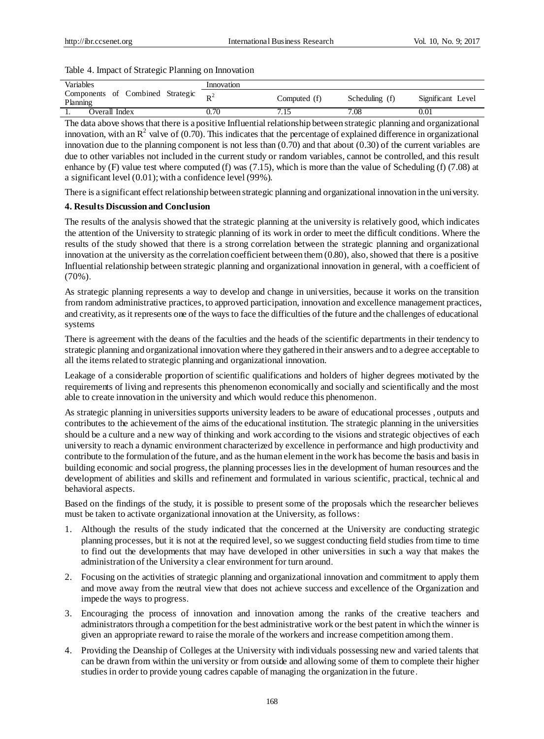|  |  | Table 4. Impact of Strategic Planning on Innovation |
|--|--|-----------------------------------------------------|
|  |  |                                                     |

| Variables |                                  | Innovation |              |                |                   |
|-----------|----------------------------------|------------|--------------|----------------|-------------------|
| Planning  | Components of Combined Strategic |            | Computed (f) | Scheduling (f) | Significant Level |
|           | Overall Index                    | ).70       |              | 7.08           | 0.01              |

The data above shows that there is a positive Influential relationship between strategic planning and organizational innovation, with an  $R^2$  valve of (0.70). This indicates that the percentage of explained difference in organizational innovation due to the planning component is not less than (0.70) and that about (0.30) of the current variables are due to other variables not included in the current study or random variables, cannot be controlled, and this result enhance by  $(F)$  value test where computed  $(F)$  was (7.15), which is more than the value of Scheduling  $(F)$  (7.08) at a significant level (0.01); with a confidence level (99%).

There is a significant effect relationship between strategic planning and organizational innovation in the university.

## **4. Results Discussion and Conclusion**

The results of the analysis showed that the strategic planning at the university is relatively good, which indicates the attention of the University to strategic planning of its work in order to meet the difficult conditions. Where the results of the study showed that there is a strong correlation between the strategic planning and organizational innovation at the university as the correlation coefficient between them  $(0.80)$ , also, showed that there is a positive Influential relationship between strategic planning and organizational innovation in general, with a coefficient of (70%).

As strategic planning represents a way to develop and change in universities, because it works on the transition from random administrative practices, to approved participation, innovation and excellence management practices, and creativity, as it represents one of the ways to face the difficulties of the future and the challenges of educational systems

There is agreement with the deans of the faculties and the heads of the scientific departments in their tendency to strategic planning and organizational innovation where they gathered in their answers and to a degree acceptable to all the items related to strategic planning and organizational innovation.

Leakage of a considerable proportion of scientific qualifications and holders of higher degrees motivated by the requirements of living and represents this phenomenon economically and socially and scientifically and the most able to create innovation in the university and which would reduce this phenomenon.

As strategic planning in universities supports university leaders to be aware of educational processes , outputs and contributes to the achievement of the aims of the educational institution. The strategic planning in the universities should be a culture and a new way of thinking and work according to the visions and strategic objectives of each university to reach a dynamic environment characterized by excellence in performance and high productivity and contribute to the formulation of the future, and as the human element in the work has become the basis and basis in building economic and social progress, the planning processes lies in the development of human resources and the development of abilities and skills and refinement and formulated in various scientific, practical, technic al and behavioral aspects.

Based on the findings of the study, it is possible to present some of the proposals which the researcher believes must be taken to activate organizational innovation at the University, as follows:

- 1. Although the results of the study indicated that the concerned at the University are conducting strategic planning processes, but it is not at the required level, so we suggest conducting field studies from time to time to find out the developments that may have developed in other universities in such a way that makes the administration of the University a clear environment for turn around.
- 2. Focusing on the activities of strategic planning and organizational innovation and commitment to apply them and move away from the neutral view that does not achieve success and excellence of the Organization and impede the ways to progress.
- 3. Encouraging the process of innovation and innovation among the ranks of the creative teachers and administrators through a competition for the best administrative work or the best patent in which the winner is given an appropriate reward to raise the morale of the workers and increase competition among them.
- 4. Providing the Deanship of Colleges at the University with individuals possessing new and varied talents that can be drawn from within the university or from outside and allowing some of them to complete their higher studies in order to provide young cadres capable of managing the organization in the future.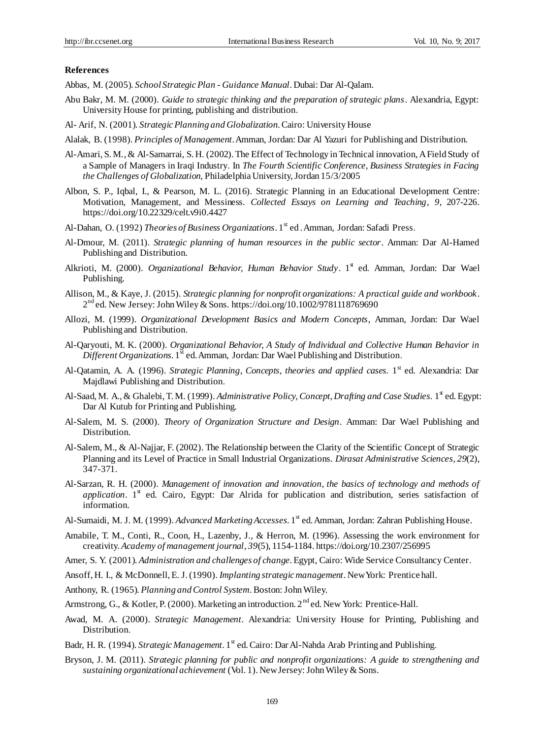#### **References**

Abbas, M. (2005). *School Strategic Plan - Guidance Manual*. Dubai: Dar Al-Qalam.

- Abu Bakr, M. M. (2000). *Guide to strategic thinking and the preparation of strategic plans*. Alexandria, Egypt: University House for printing, publishing and distribution.
- Al- Arif, N. (2001). *Strategic Planning and Globalization*. Cairo: University House
- Alalak, B. (1998). *Principles of Management*.Amman, Jordan: Dar Al Yazuri for Publishing and Distribution.
- Al-Amari, S. M., & Al-Samarrai, S. H. (2002). The Effect of Technology in Technical innovation, A Field Study of a Sample of Managers in Iraqi Industry*.* In *The Fourth Scientific Conference, Business Strategies in Facing the Challenges of Globalization,* Philadelphia University, Jordan 15/3/2005
- Albon, S. P., Iqbal, I., & Pearson, M. L. (2016). Strategic Planning in an Educational Development Centre: Motivation, Management, and Messiness. *Collected Essays on Learning and Teaching*, *9*, 207-226. https://doi.org/10.22329/celt.v9i0.4427
- Al-Dahan, O. (1992) *Theories of Business Organizations*. 1<sup>st</sup> ed. Amman, Jordan: Safadi Press.
- Al-Dmour, M. (2011). *Strategic planning of human resources in the public sector*. Amman: Dar Al-Hamed Publishing and Distribution.
- Alkrioti, M. (2000). *Organizational Behavior, Human Behavior Study*. 1<sup>st</sup> ed. Amman, Jordan: Dar Wael Publishing.
- Allison, M., & Kaye, J. (2015). *Strategic planning for nonprofit organizations: A practical guide and workbook*. 2<sup>nd</sup> ed. New Jersey: John Wiley & Sons. https://doi.org/10.1002/9781118769690
- Allozi, M. (1999). *Organizational Development Basics and Modern Concepts*, Amman, Jordan: Dar Wael Publishing and Distribution.
- Al-Qaryouti, M. K. (2000). *Organizational Behavior, A Study of Individual and Collective Human Behavior in Different Organizations*. 1<sup>st</sup> ed. Amman, Jordan: Dar Wael Publishing and Distribution.
- Al-Qatamin, A. A. (1996). *Strategic Planning, Concepts, theories and applied cases*. 1<sup>st</sup> ed. Alexandria: Dar Majdlawi Publishing and Distribution.
- Al-Saad, M. A., & Ghalebi, T. M. (1999). Administrative Policy, Concept, Drafting and Case Studies. 1<sup>st</sup> ed. Egypt: Dar Al Kutub for Printing and Publishing.
- Al-Salem, M. S. (2000). *Theory of Organization Structure and Design*. Amman: Dar Wael Publishing and Distribution.
- Al-Salem, M., & Al-Najjar, F. (2002). The Relationship between the Clarity of the Scientific Concept of Strategic Planning and its Level of Practice in Small Industrial Organizations. *Dirasat Administrative Sciences*, *29*(2), 347-371.
- Al-Sarzan, R. H. (2000). *Management of innovation and innovation, the basics of technology and methods of*  application. 1<sup>st</sup> ed. Cairo, Egypt: Dar Alrida for publication and distribution, series satisfaction of information.
- Al-Sumaidi, M. J. M. (1999). *Advanced Marketing Accesses*. 1<sup>st</sup> ed. Amman, Jordan: Zahran Publishing House.
- Amabile, T. M., Conti, R., Coon, H., Lazenby, J., & Herron, M. (1996). Assessing the work environment for creativity. *Academy of management journal*, *39*(5), 1154-1184. https://doi.org/10.2307/256995
- Amer, S. Y. (2001). *Administration and challenges of change*. Egypt, Cairo: Wide Service Consultancy Center.
- Ansoff, H. I., & McDonnell, E. J. (1990). *Implanting strategic management*. New York: Prentice hall.
- Anthony, R. (1965). *Planning and Control System*. Boston: John Wiley.
- Armstrong, G., & Kotler, P. (2000). Marketing an introduction.  $2^{nd}$  ed. New York: Prentice-Hall.
- Awad, M. A. (2000). *Strategic Management*. Alexandria: University House for Printing, Publishing and Distribution.
- Badr, H. R. (1994). *Strategic Management*. 1<sup>st</sup> ed. Cairo: Dar Al-Nahda Arab Printing and Publishing.
- Bryson, J. M. (2011). *Strategic planning for public and nonprofit organizations: A guide to strengthening and sustaining organizational achievement* (Vol. 1). New Jersey: John Wiley & Sons.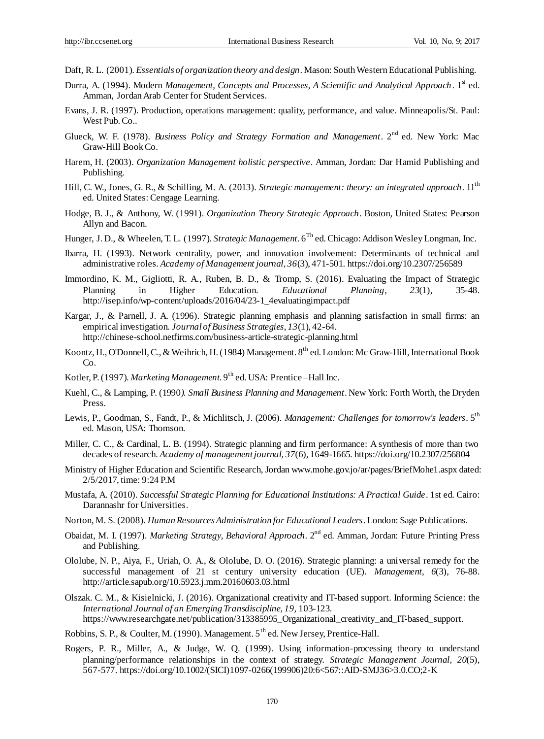Daft, R. L. (2001). *Essentials of organization theory and design*. Mason: South Western Educational Publishing.

- Durra, A. (1994). Modern *Management, Concepts and Processes, A Scientific and Analytical Approach*. 1<sup>st</sup> ed. Amman, Jordan Arab Center for Student Services.
- Evans, J. R. (1997). Production, operations management: quality, performance, and value. Minneapolis/St. Paul: West Pub. Co..
- Glueck, W. F. (1978). *Business Policy and Strategy Formation and Management*. 2<sup>nd</sup> ed. New York: Mac Graw-Hill Book Co.
- Harem, H. (2003). *Organization Management holistic perspective*. Amman, Jordan: Dar Hamid Publishing and Publishing.
- Hill, C. W., Jones, G. R., & Schilling, M. A. (2013). *Strategic management: theory: an integrated approach*.  $11<sup>th</sup>$ ed. United States: Cengage Learning.
- Hodge, B. J., & Anthony, W. (1991). *Organization Theory Strategic Approach*. Boston, United States: Pearson Allyn and Bacon.
- Hunger, J. D., & Wheelen, T. L. (1997). *Strategic Management*. 6Th ed. Chicago: Addison Wesley Longman, Inc.
- Ibarra, H. (1993). Network centrality, power, and innovation involvement: Determinants of technical and administrative roles. *Academy of Management journal, 36*(3), 471-501. https://doi.org/10.2307/256589
- Immordino, K. M., Gigliotti, R. A., Ruben, B. D., & Tromp, S. (2016). Evaluating the Impact of Strategic Planning in Higher Education. *Educational Planning*, *23*(1), 35-48. http://isep.info/wp-content/uploads/2016/04/23-1\_4evaluatingimpact.pdf
- Kargar, J., & Parnell, J. A. (1996). Strategic planning emphasis and planning satisfaction in small firms: an empirical investigation. *Journal of Business Strategies, 13*(1), 42-64. http://chinese-school.netfirms.com/business-article-strategic-planning.html
- Koontz, H., O'Donnell, C., & Weihrich, H. (1984) Management. 8th ed. London: Mc Graw-Hill, International Book Co.
- Kotler, P. (1997). *Marketing Management*. 9<sup>th</sup> ed. USA: Prentice Hall Inc.
- Kuehl, C., & Lamping, P. (1990*). Small Business Planning and Management*. New York: Forth Worth, the Dryden Press.
- Lewis, P., Goodman, S., Fandt, P., & Michlitsch, J. (2006). *Management: Challenges for tomorrow's leaders*. 5th ed. Mason, USA: Thomson.
- Miller, C. C., & Cardinal, L. B. (1994). Strategic planning and firm performance: A synthesis of more than two decades of research. *Academy of management journal, 37*(6), 1649-1665. https://doi.org/10.2307/256804
- Ministry of Higher Education and Scientific Research, Jordan www.mohe.gov.jo/ar/pages/BriefMohe1.aspx dated: 2/5/2017, time: 9:24 P.M
- Mustafa, A. (2010). *Successful Strategic Planning for Educational Institutions: A Practical Guide*. 1st ed. Cairo: Darannashr for Universities.
- Norton, M. S. (2008). *Human Resources Administration for Educational Leaders*. London: Sage Publications.
- Obaidat, M. I. (1997). *Marketing Strategy, Behavioral Approach*. 2<sup>nd</sup> ed. Amman, Jordan: Future Printing Press and Publishing.
- Ololube, N. P., Aiya, F., Uriah, O. A., & Ololube, D. O. (2016). Strategic planning: a universal remedy for the successful management of 21 st century university education (UE). *Management*, *6*(3), 76-88. http://article.sapub.org/10.5923.j.mm.20160603.03.html
- Olszak. C. M., & Kisielnicki, J. (2016). Organizational creativity and IT-based support. Informing Science: the *International Journal of an Emerging Transdiscipline, 19,* 103-123. https://www.researchgate.net/publication/313385995\_Organizational\_creativity\_and\_IT-based\_support.
- Robbins, S. P., & Coulter, M. (1990). Management.  $5<sup>th</sup>$  ed. New Jersey, Prentice-Hall.
- Rogers, P. R., Miller, A., & Judge, W. Q. (1999). Using information-processing theory to understand planning/performance relationships in the context of strategy. *Strategic Management Journal, 20*(5), 567-577. https://doi.org/10.1002/(SICI)1097-0266(199906)20:6<567::AID-SMJ36>3.0.CO;2-K